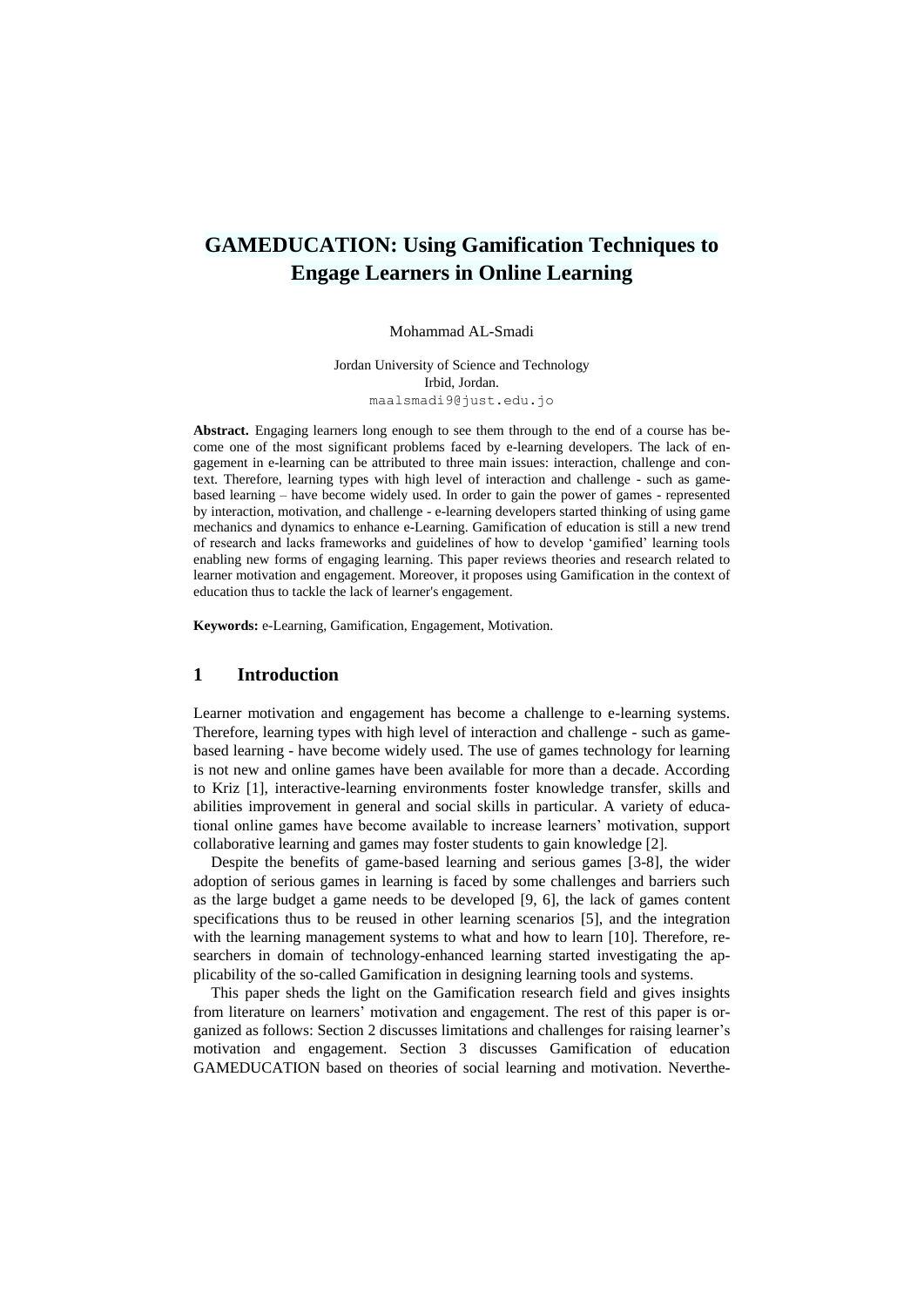# **GAMEDUCATION: Using Gamification Techniques to Engage Learners in Online Learning**

Mohammad AL-Smadi

Jordan University of Science and Technology Irbid, Jordan. maalsmadi9@just.edu.jo

**Abstract.** Engaging learners long enough to see them through to the end of a course has become one of the most significant problems faced by e-learning developers. The lack of engagement in e-learning can be attributed to three main issues: interaction, challenge and context. Therefore, learning types with high level of interaction and challenge - such as gamebased learning – have become widely used. In order to gain the power of games - represented by interaction, motivation, and challenge - e-learning developers started thinking of using game mechanics and dynamics to enhance e-Learning. Gamification of education is still a new trend of research and lacks frameworks and guidelines of how to develop 'gamified' learning tools enabling new forms of engaging learning. This paper reviews theories and research related to learner motivation and engagement. Moreover, it proposes using Gamification in the context of education thus to tackle the lack of learner's engagement.

**Keywords:** e-Learning, Gamification, Engagement, Motivation.

## **1 Introduction**

Learner motivation and engagement has become a challenge to e-learning systems. Therefore, learning types with high level of interaction and challenge - such as gamebased learning - have become widely used. The use of games technology for learning is not new and online games have been available for more than a decade. According to Kriz [1], interactive-learning environments foster knowledge transfer, skills and abilities improvement in general and social skills in particular. A variety of educational online games have become available to increase learners' motivation, support collaborative learning and games may foster students to gain knowledge [2].

Despite the benefits of game-based learning and serious games [3-8], the wider adoption of serious games in learning is faced by some challenges and barriers such as the large budget a game needs to be developed [9, 6], the lack of games content specifications thus to be reused in other learning scenarios [5], and the integration with the learning management systems to what and how to learn [10]. Therefore, researchers in domain of technology-enhanced learning started investigating the applicability of the so-called Gamification in designing learning tools and systems.

This paper sheds the light on the Gamification research field and gives insights from literature on learners' motivation and engagement. The rest of this paper is organized as follows: Section 2 discusses limitations and challenges for raising learner's motivation and engagement. Section 3 discusses Gamification of education GAMEDUCATION based on theories of social learning and motivation. Neverthe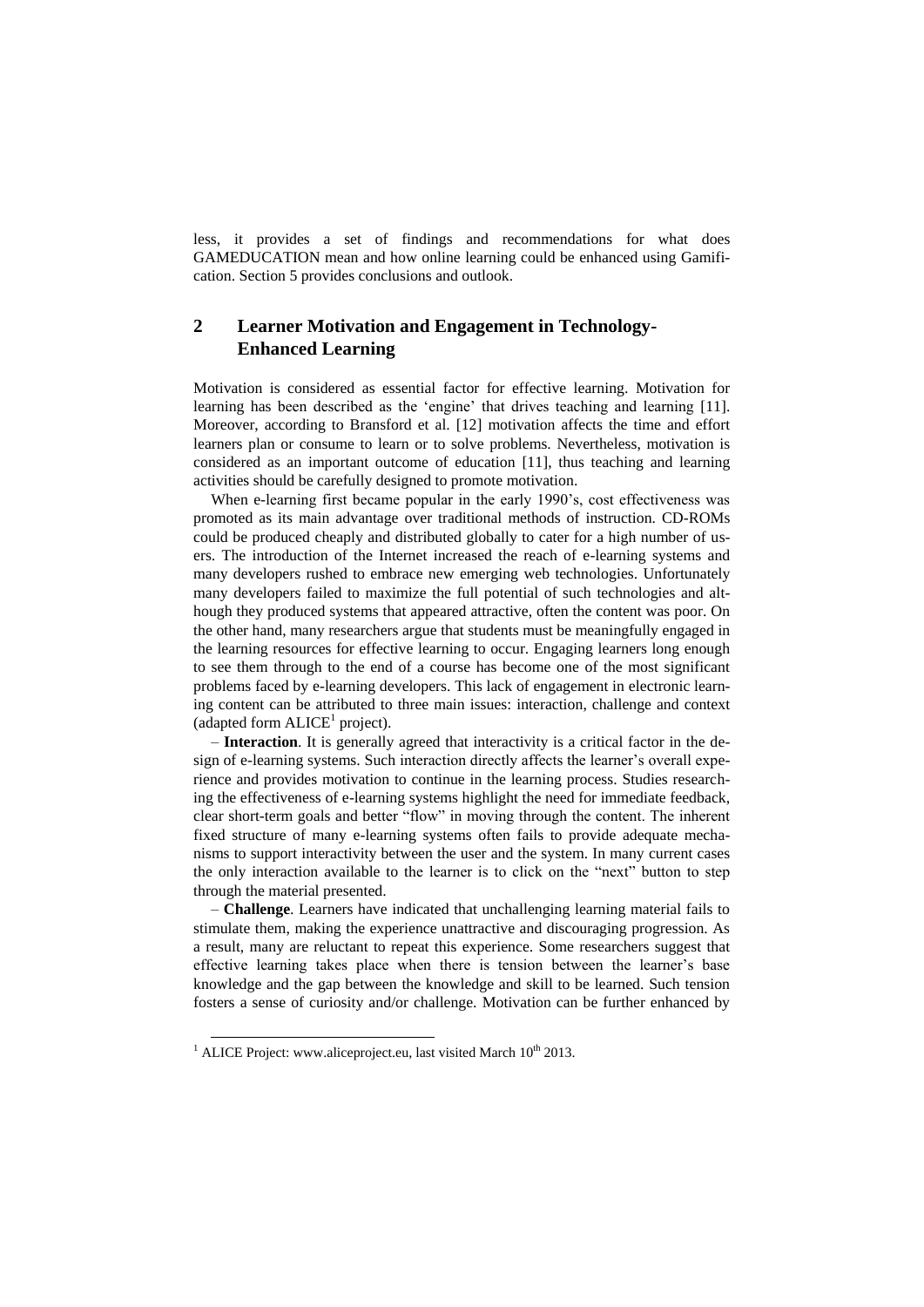less, it provides a set of findings and recommendations for what does GAMEDUCATION mean and how online learning could be enhanced using Gamification. Section 5 provides conclusions and outlook.

# **2 Learner Motivation and Engagement in Technology-Enhanced Learning**

Motivation is considered as essential factor for effective learning. Motivation for learning has been described as the 'engine' that drives teaching and learning [11]. Moreover, according to Bransford et al. [12] motivation affects the time and effort learners plan or consume to learn or to solve problems. Nevertheless, motivation is considered as an important outcome of education [11], thus teaching and learning activities should be carefully designed to promote motivation.

When e-learning first became popular in the early 1990's, cost effectiveness was promoted as its main advantage over traditional methods of instruction. CD-ROMs could be produced cheaply and distributed globally to cater for a high number of users. The introduction of the Internet increased the reach of e-learning systems and many developers rushed to embrace new emerging web technologies. Unfortunately many developers failed to maximize the full potential of such technologies and although they produced systems that appeared attractive, often the content was poor. On the other hand, many researchers argue that students must be meaningfully engaged in the learning resources for effective learning to occur. Engaging learners long enough to see them through to the end of a course has become one of the most significant problems faced by e-learning developers. This lack of engagement in electronic learning content can be attributed to three main issues: interaction, challenge and context (adapted form  $ALICE<sup>1</sup>$  project).

– **Interaction**. It is generally agreed that interactivity is a critical factor in the design of e-learning systems. Such interaction directly affects the learner's overall experience and provides motivation to continue in the learning process. Studies researching the effectiveness of e-learning systems highlight the need for immediate feedback, clear short-term goals and better "flow" in moving through the content. The inherent fixed structure of many e-learning systems often fails to provide adequate mechanisms to support interactivity between the user and the system. In many current cases the only interaction available to the learner is to click on the "next" button to step through the material presented.

– **Challenge**. Learners have indicated that unchallenging learning material fails to stimulate them, making the experience unattractive and discouraging progression. As a result, many are reluctant to repeat this experience. Some researchers suggest that effective learning takes place when there is tension between the learner's base knowledge and the gap between the knowledge and skill to be learned. Such tension fosters a sense of curiosity and/or challenge. Motivation can be further enhanced by

 $1$  ALICE Project: [www.aliceproject.eu,](http://www.aliceproject.eu/) last visited March  $10^{th}$  2013.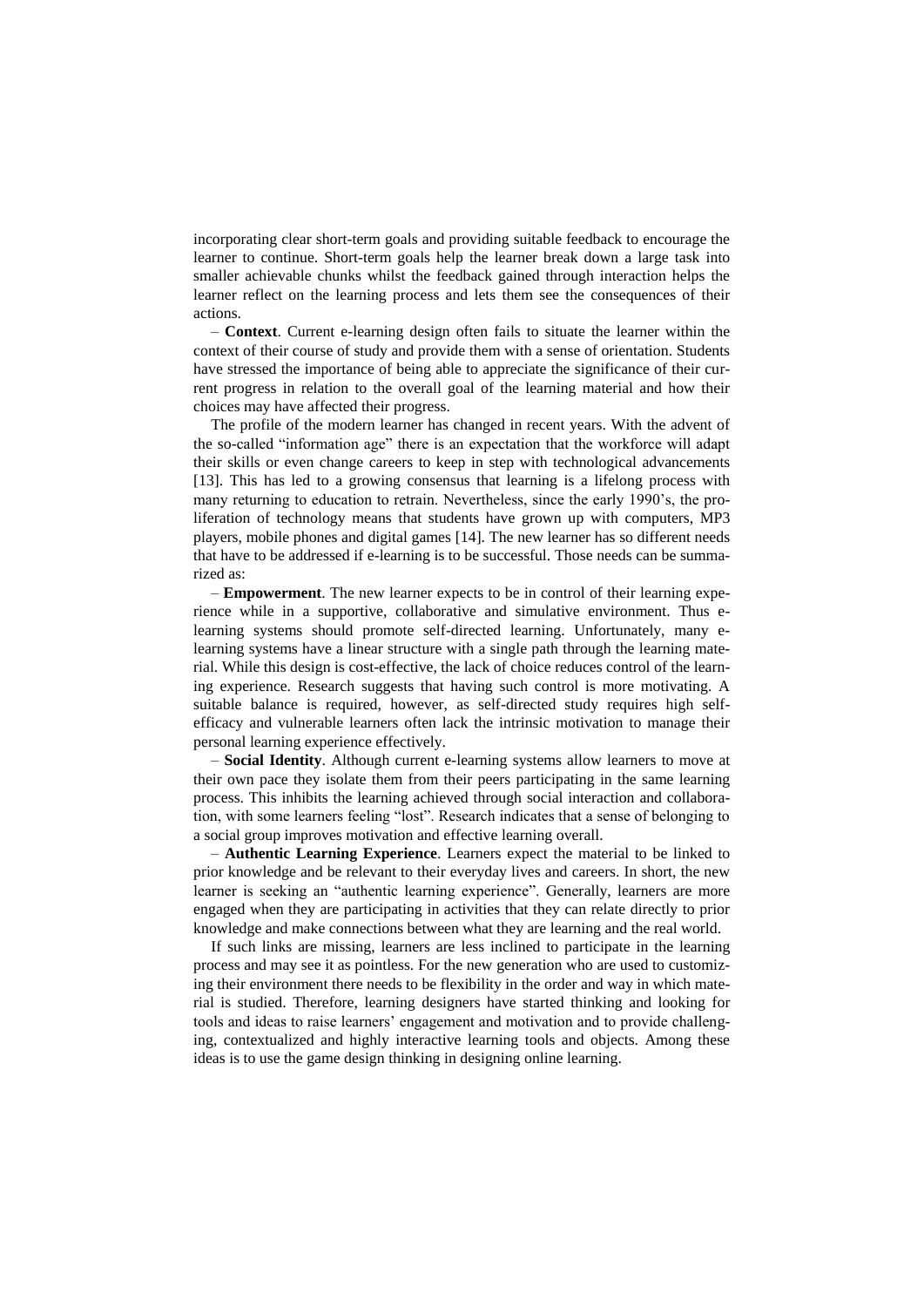incorporating clear short-term goals and providing suitable feedback to encourage the learner to continue. Short-term goals help the learner break down a large task into smaller achievable chunks whilst the feedback gained through interaction helps the learner reflect on the learning process and lets them see the consequences of their actions.

– **Context**. Current e-learning design often fails to situate the learner within the context of their course of study and provide them with a sense of orientation. Students have stressed the importance of being able to appreciate the significance of their current progress in relation to the overall goal of the learning material and how their choices may have affected their progress.

The profile of the modern learner has changed in recent years. With the advent of the so-called "information age" there is an expectation that the workforce will adapt their skills or even change careers to keep in step with technological advancements [13]. This has led to a growing consensus that learning is a lifelong process with many returning to education to retrain. Nevertheless, since the early 1990's, the proliferation of technology means that students have grown up with computers, MP3 players, mobile phones and digital games [14]. The new learner has so different needs that have to be addressed if e-learning is to be successful. Those needs can be summarized as:

– **Empowerment**. The new learner expects to be in control of their learning experience while in a supportive, collaborative and simulative environment. Thus elearning systems should promote self-directed learning. Unfortunately, many elearning systems have a linear structure with a single path through the learning material. While this design is cost-effective, the lack of choice reduces control of the learning experience. Research suggests that having such control is more motivating. A suitable balance is required, however, as self-directed study requires high selfefficacy and vulnerable learners often lack the intrinsic motivation to manage their personal learning experience effectively.

– **Social Identity**. Although current e-learning systems allow learners to move at their own pace they isolate them from their peers participating in the same learning process. This inhibits the learning achieved through social interaction and collaboration, with some learners feeling "lost". Research indicates that a sense of belonging to a social group improves motivation and effective learning overall.

– **Authentic Learning Experience**. Learners expect the material to be linked to prior knowledge and be relevant to their everyday lives and careers. In short, the new learner is seeking an "authentic learning experience". Generally, learners are more engaged when they are participating in activities that they can relate directly to prior knowledge and make connections between what they are learning and the real world.

If such links are missing, learners are less inclined to participate in the learning process and may see it as pointless. For the new generation who are used to customizing their environment there needs to be flexibility in the order and way in which material is studied. Therefore, learning designers have started thinking and looking for tools and ideas to raise learners' engagement and motivation and to provide challenging, contextualized and highly interactive learning tools and objects. Among these ideas is to use the game design thinking in designing online learning.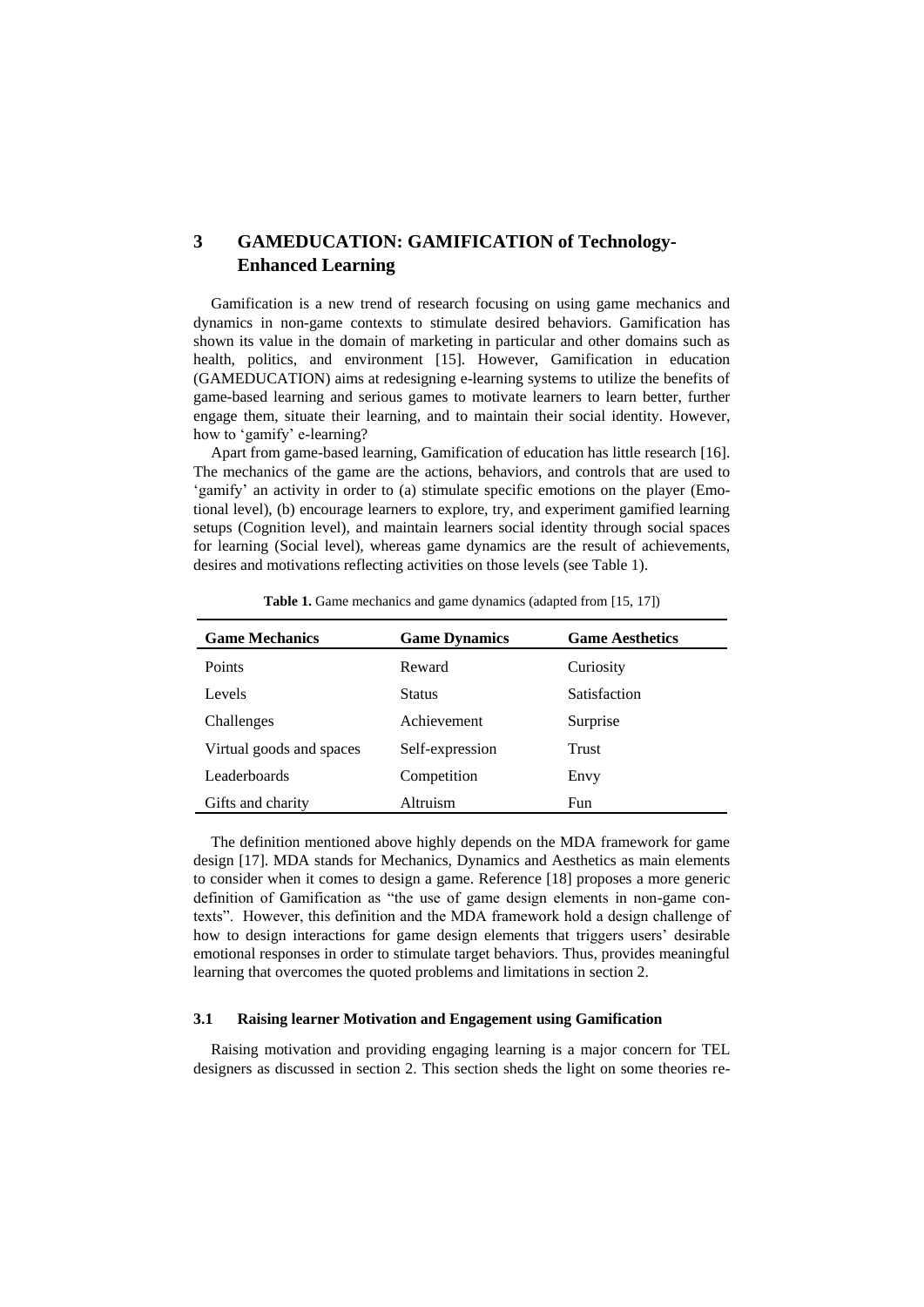# **3 GAMEDUCATION: GAMIFICATION of Technology-Enhanced Learning**

Gamification is a new trend of research focusing on using game mechanics and dynamics in non-game contexts to stimulate desired behaviors. Gamification has shown its value in the domain of marketing in particular and other domains such as health, politics, and environment [15]. However, Gamification in education (GAMEDUCATION) aims at redesigning e-learning systems to utilize the benefits of game-based learning and serious games to motivate learners to learn better, further engage them, situate their learning, and to maintain their social identity. However, how to 'gamify' e-learning?

Apart from game-based learning, Gamification of education has little research [16]. The mechanics of the game are the actions, behaviors, and controls that are used to 'gamify' an activity in order to (a) stimulate specific emotions on the player (Emotional level), (b) encourage learners to explore, try, and experiment gamified learning setups (Cognition level), and maintain learners social identity through social spaces for learning (Social level), whereas game dynamics are the result of achievements, desires and motivations reflecting activities on those levels (see Table 1).

| <b>Game Mechanics</b>    | <b>Game Dynamics</b> | <b>Game Aesthetics</b> |
|--------------------------|----------------------|------------------------|
| <b>Points</b>            | Reward               | Curiosity              |
| Levels                   | <b>Status</b>        | Satisfaction           |
| Challenges               | Achievement          | Surprise               |
| Virtual goods and spaces | Self-expression      | Trust                  |
| Leaderboards             | Competition          | Envy                   |
| Gifts and charity        | Altruism             | Fun                    |

**Table 1.** Game mechanics and game dynamics (adapted from [15, 17])

The definition mentioned above highly depends on the MDA framework for game design [17]. MDA stands for Mechanics, Dynamics and Aesthetics as main elements to consider when it comes to design a game. Reference [18] proposes a more generic definition of Gamification as "the use of game design elements in non-game contexts". However, this definition and the MDA framework hold a design challenge of how to design interactions for game design elements that triggers users' desirable emotional responses in order to stimulate target behaviors. Thus, provides meaningful learning that overcomes the quoted problems and limitations in section 2.

#### **3.1 Raising learner Motivation and Engagement using Gamification**

Raising motivation and providing engaging learning is a major concern for TEL designers as discussed in section 2. This section sheds the light on some theories re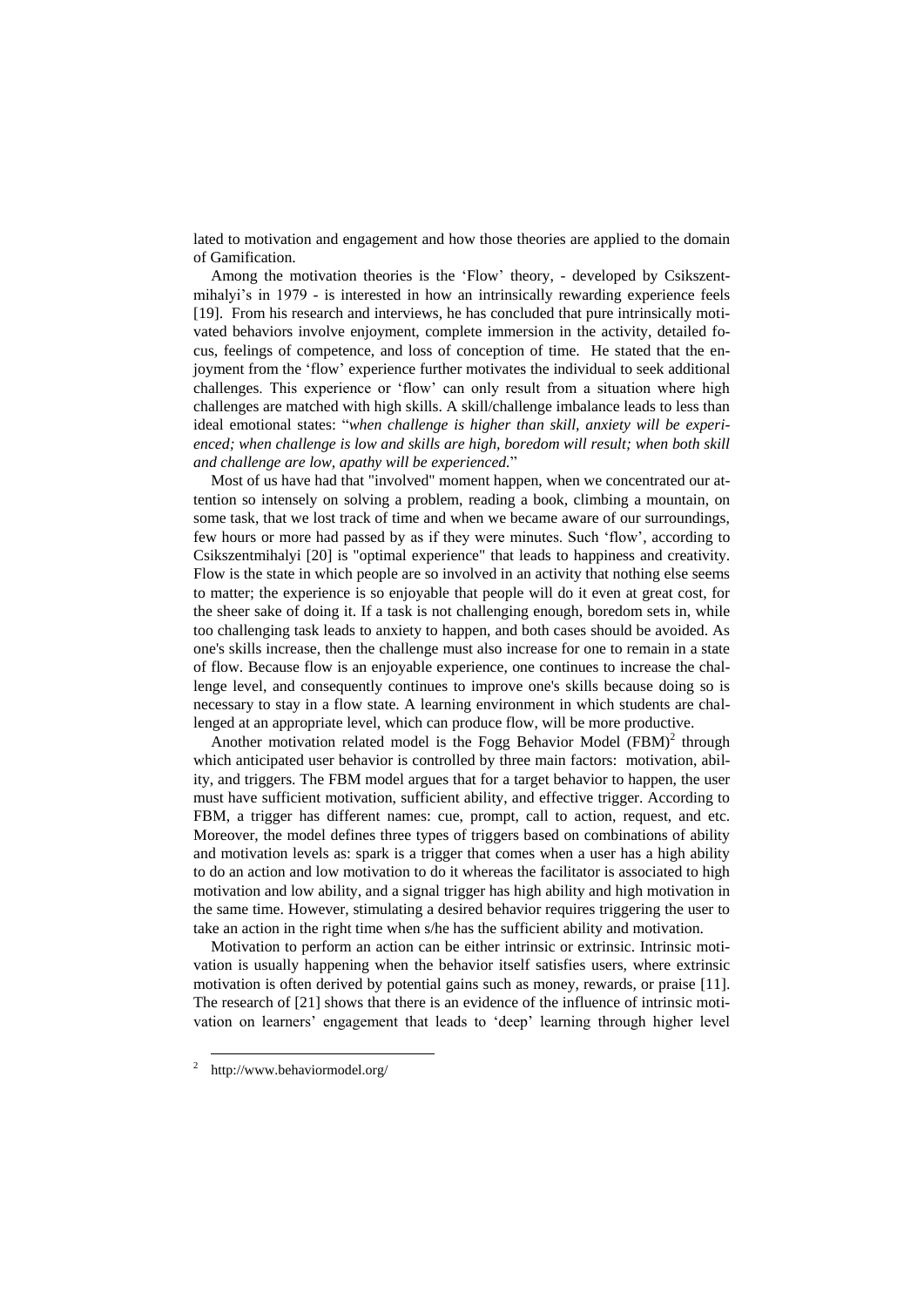lated to motivation and engagement and how those theories are applied to the domain of Gamification.

Among the motivation theories is the 'Flow' theory, - developed by Csikszentmihalyi's in 1979 - is interested in how an intrinsically rewarding experience feels [19]. From his research and interviews, he has concluded that pure intrinsically motivated behaviors involve enjoyment, complete immersion in the activity, detailed focus, feelings of competence, and loss of conception of time. He stated that the enjoyment from the 'flow' experience further motivates the individual to seek additional challenges. This experience or 'flow' can only result from a situation where high challenges are matched with high skills. A skill/challenge imbalance leads to less than ideal emotional states: "*when challenge is higher than skill, anxiety will be experienced; when challenge is low and skills are high, boredom will result; when both skill and challenge are low, apathy will be experienced.*"

Most of us have had that "involved" moment happen, when we concentrated our attention so intensely on solving a problem, reading a book, climbing a mountain, on some task, that we lost track of time and when we became aware of our surroundings, few hours or more had passed by as if they were minutes. Such 'flow', according to Csikszentmihalyi [20] is "optimal experience" that leads to happiness and creativity. Flow is the state in which people are so involved in an activity that nothing else seems to matter; the experience is so enjoyable that people will do it even at great cost, for the sheer sake of doing it. If a task is not challenging enough, boredom sets in, while too challenging task leads to anxiety to happen, and both cases should be avoided. As one's skills increase, then the challenge must also increase for one to remain in a state of flow. Because flow is an enjoyable experience, one continues to increase the challenge level, and consequently continues to improve one's skills because doing so is necessary to stay in a flow state. A learning environment in which students are challenged at an appropriate level, which can produce flow, will be more productive.

Another motivation related model is the Fogg Behavior Model  $(FBM)^2$  through which anticipated user behavior is controlled by three main factors: motivation, ability, and triggers. The FBM model argues that for a target behavior to happen, the user must have sufficient motivation, sufficient ability, and effective trigger. According to FBM, a trigger has different names: cue, prompt, call to action, request, and etc. Moreover, the model defines three types of triggers based on combinations of ability and motivation levels as: spark is a trigger that comes when a user has a high ability to do an action and low motivation to do it whereas the facilitator is associated to high motivation and low ability, and a signal trigger has high ability and high motivation in the same time. However, stimulating a desired behavior requires triggering the user to take an action in the right time when s/he has the sufficient ability and motivation.

Motivation to perform an action can be either intrinsic or extrinsic. Intrinsic motivation is usually happening when the behavior itself satisfies users, where extrinsic motivation is often derived by potential gains such as money, rewards, or praise [11]. The research of [21] shows that there is an evidence of the influence of intrinsic motivation on learners' engagement that leads to 'deep' learning through higher level

<sup>2</sup> <http://www.behaviormodel.org/>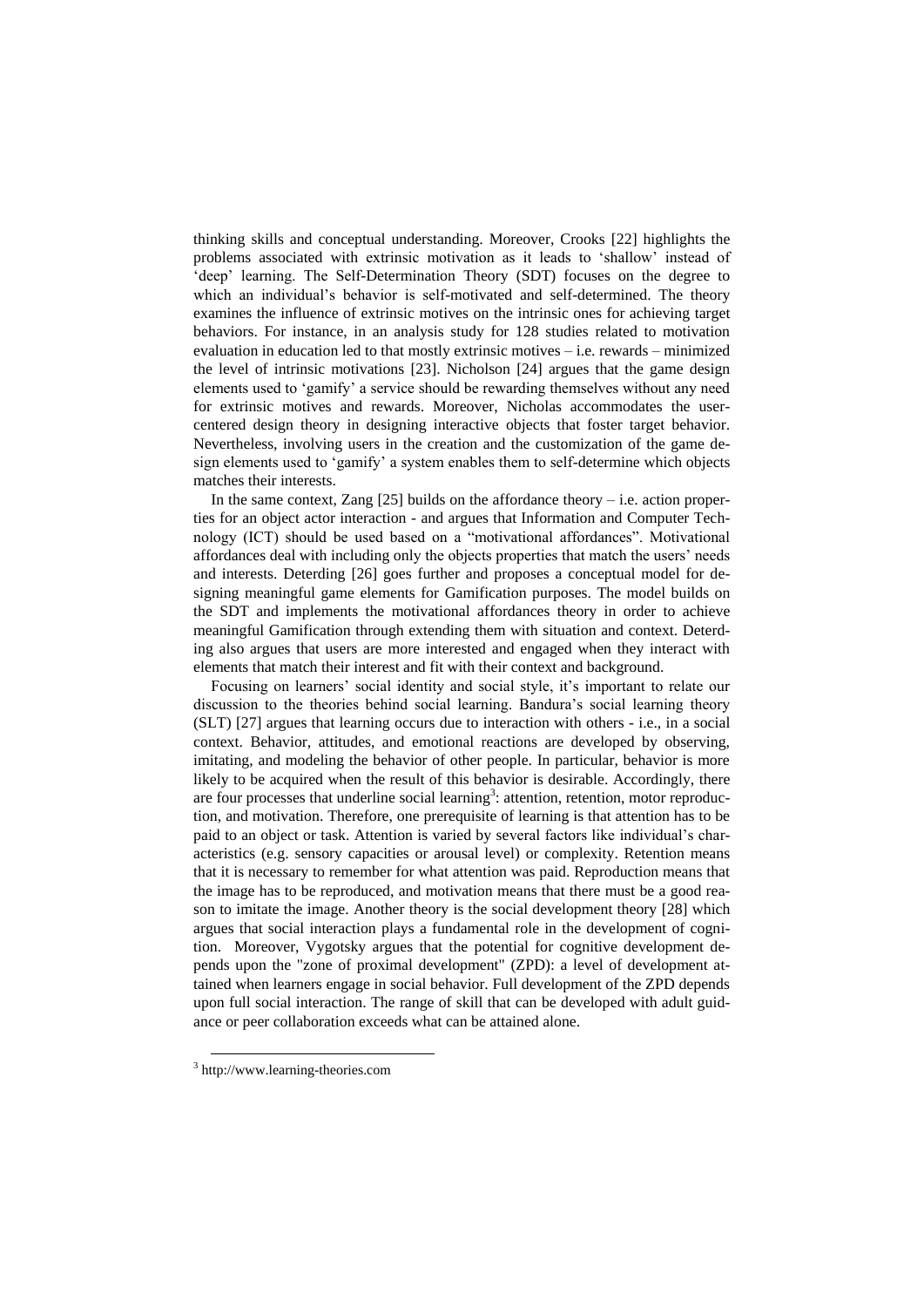thinking skills and conceptual understanding. Moreover, Crooks [22] highlights the problems associated with extrinsic motivation as it leads to 'shallow' instead of 'deep' learning. The Self-Determination Theory (SDT) focuses on the degree to which an individual's behavior is self-motivated and self-determined. The theory examines the influence of extrinsic motives on the intrinsic ones for achieving target behaviors. For instance, in an analysis study for 128 studies related to motivation evaluation in education led to that mostly extrinsic motives – i.e. rewards – minimized the level of intrinsic motivations [23]. Nicholson [24] argues that the game design elements used to 'gamify' a service should be rewarding themselves without any need for extrinsic motives and rewards. Moreover, Nicholas accommodates the usercentered design theory in designing interactive objects that foster target behavior. Nevertheless, involving users in the creation and the customization of the game design elements used to 'gamify' a system enables them to self-determine which objects matches their interests.

In the same context, Zang  $[25]$  builds on the affordance theory – i.e. action properties for an object actor interaction - and argues that Information and Computer Technology (ICT) should be used based on a "motivational affordances". Motivational affordances deal with including only the objects properties that match the users' needs and interests. Deterding [26] goes further and proposes a conceptual model for designing meaningful game elements for Gamification purposes. The model builds on the SDT and implements the motivational affordances theory in order to achieve meaningful Gamification through extending them with situation and context. Deterding also argues that users are more interested and engaged when they interact with elements that match their interest and fit with their context and background.

Focusing on learners' social identity and social style, it's important to relate our discussion to the theories behind social learning. Bandura's social learning theory (SLT) [27] argues that learning occurs due to interaction with others - i.e., in a social context. Behavior, attitudes, and emotional reactions are developed by observing, imitating, and modeling the behavior of other people. In particular, behavior is more likely to be acquired when the result of this behavior is desirable. Accordingly, there are four processes that underline social learning<sup>3</sup>: attention, retention, motor reproduction, and motivation. Therefore, one prerequisite of learning is that attention has to be paid to an object or task. Attention is varied by several factors like individual's characteristics (e.g. sensory capacities or arousal level) or complexity. Retention means that it is necessary to remember for what attention was paid. Reproduction means that the image has to be reproduced, and motivation means that there must be a good reason to imitate the image. Another theory is the social development theory [28] which argues that social interaction plays a fundamental role in the development of cognition. Moreover, Vygotsky argues that the potential for cognitive development depends upon the "zone of proximal development" (ZPD): a level of development attained when learners engage in social behavior. Full development of the ZPD depends upon full social interaction. The range of skill that can be developed with adult guidance or peer collaboration exceeds what can be attained alone.

<sup>3</sup> http://www.learning-theories.com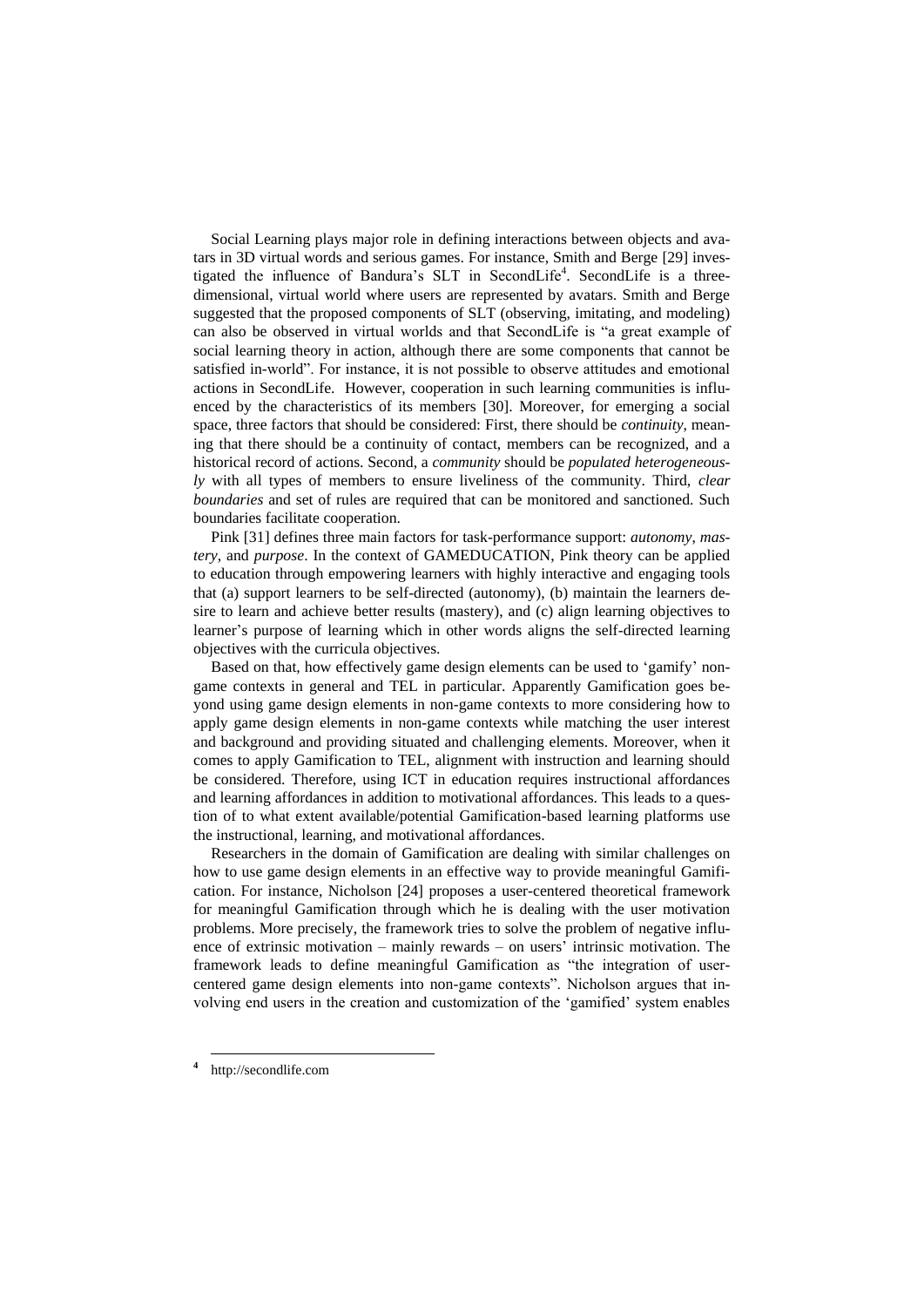Social Learning plays major role in defining interactions between objects and avatars in 3D virtual words and serious games. For instance, Smith and Berge [29] investigated the influence of Bandura's SLT in SecondLife<sup>4</sup>. SecondLife is a threedimensional, virtual world where users are represented by avatars. Smith and Berge suggested that the proposed components of SLT (observing, imitating, and modeling) can also be observed in virtual worlds and that SecondLife is "a great example of social learning theory in action, although there are some components that cannot be satisfied in-world". For instance, it is not possible to observe attitudes and emotional actions in SecondLife. However, cooperation in such learning communities is influenced by the characteristics of its members [30]. Moreover, for emerging a social space, three factors that should be considered: First, there should be *continuity*, meaning that there should be a continuity of contact, members can be recognized, and a historical record of actions. Second, a *community* should be *populated heterogeneously* with all types of members to ensure liveliness of the community. Third, *clear boundaries* and set of rules are required that can be monitored and sanctioned. Such boundaries facilitate cooperation.

Pink [31] defines three main factors for task-performance support: *autonomy*, *mastery*, and *purpose*. In the context of GAMEDUCATION, Pink theory can be applied to education through empowering learners with highly interactive and engaging tools that (a) support learners to be self-directed (autonomy), (b) maintain the learners desire to learn and achieve better results (mastery), and (c) align learning objectives to learner's purpose of learning which in other words aligns the self-directed learning objectives with the curricula objectives.

Based on that, how effectively game design elements can be used to 'gamify' nongame contexts in general and TEL in particular. Apparently Gamification goes beyond using game design elements in non-game contexts to more considering how to apply game design elements in non-game contexts while matching the user interest and background and providing situated and challenging elements. Moreover, when it comes to apply Gamification to TEL, alignment with instruction and learning should be considered. Therefore, using ICT in education requires instructional affordances and learning affordances in addition to motivational affordances. This leads to a question of to what extent available/potential Gamification-based learning platforms use the instructional, learning, and motivational affordances.

Researchers in the domain of Gamification are dealing with similar challenges on how to use game design elements in an effective way to provide meaningful Gamification. For instance, Nicholson [24] proposes a user-centered theoretical framework for meaningful Gamification through which he is dealing with the user motivation problems. More precisely, the framework tries to solve the problem of negative influence of extrinsic motivation – mainly rewards – on users' intrinsic motivation. The framework leads to define meaningful Gamification as "the integration of usercentered game design elements into non-game contexts". Nicholson argues that involving end users in the creation and customization of the 'gamified' system enables

**<sup>4</sup>** http://secondlife.com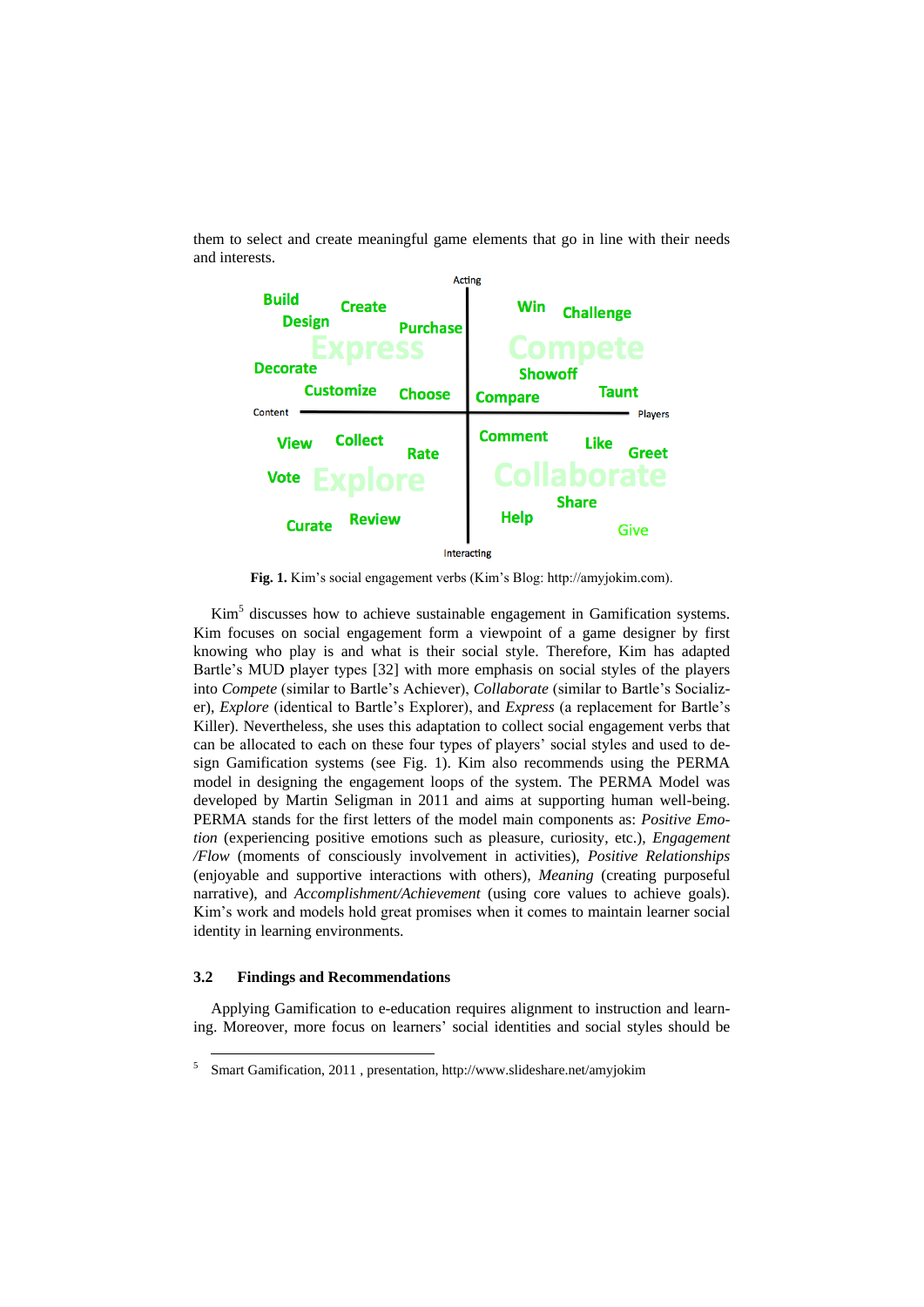

them to select and create meaningful game elements that go in line with their needs and interests.

**Fig. 1.** Kim's social engagement verbs (Kim's Blog: http://amyjokim.com).

Kim<sup>5</sup> discusses how to achieve sustainable engagement in Gamification systems. Kim focuses on social engagement form a viewpoint of a game designer by first knowing who play is and what is their social style. Therefore, Kim has adapted Bartle's MUD player types [32] with more emphasis on social styles of the players into *Compete* (similar to Bartle's Achiever), *Collaborate* (similar to Bartle's Socializer), *Explore* (identical to Bartle's Explorer), and *Express* (a replacement for Bartle's Killer). Nevertheless, she uses this adaptation to collect social engagement verbs that can be allocated to each on these four types of players' social styles and used to design Gamification systems (see Fig. 1). Kim also recommends using the PERMA model in designing the engagement loops of the system. The PERMA Model was developed by Martin Seligman in 2011 and aims at supporting human well-being. PERMA stands for the first letters of the model main components as: *Positive Emotion* (experiencing positive emotions such as pleasure, curiosity, etc.), *Engagement /Flow* (moments of consciously involvement in activities), *Positive Relationships* (enjoyable and supportive interactions with others), *Meaning* (creating purposeful narrative), and *Accomplishment/Achievement* (using core values to achieve goals). Kim's work and models hold great promises when it comes to maintain learner social identity in learning environments.

### **3.2 Findings and Recommendations**

l

Applying Gamification to e-education requires alignment to instruction and learning. Moreover, more focus on learners' social identities and social styles should be

<sup>5</sup> Smart Gamification, 2011 , presentation, http://www.slideshare.net/amyjokim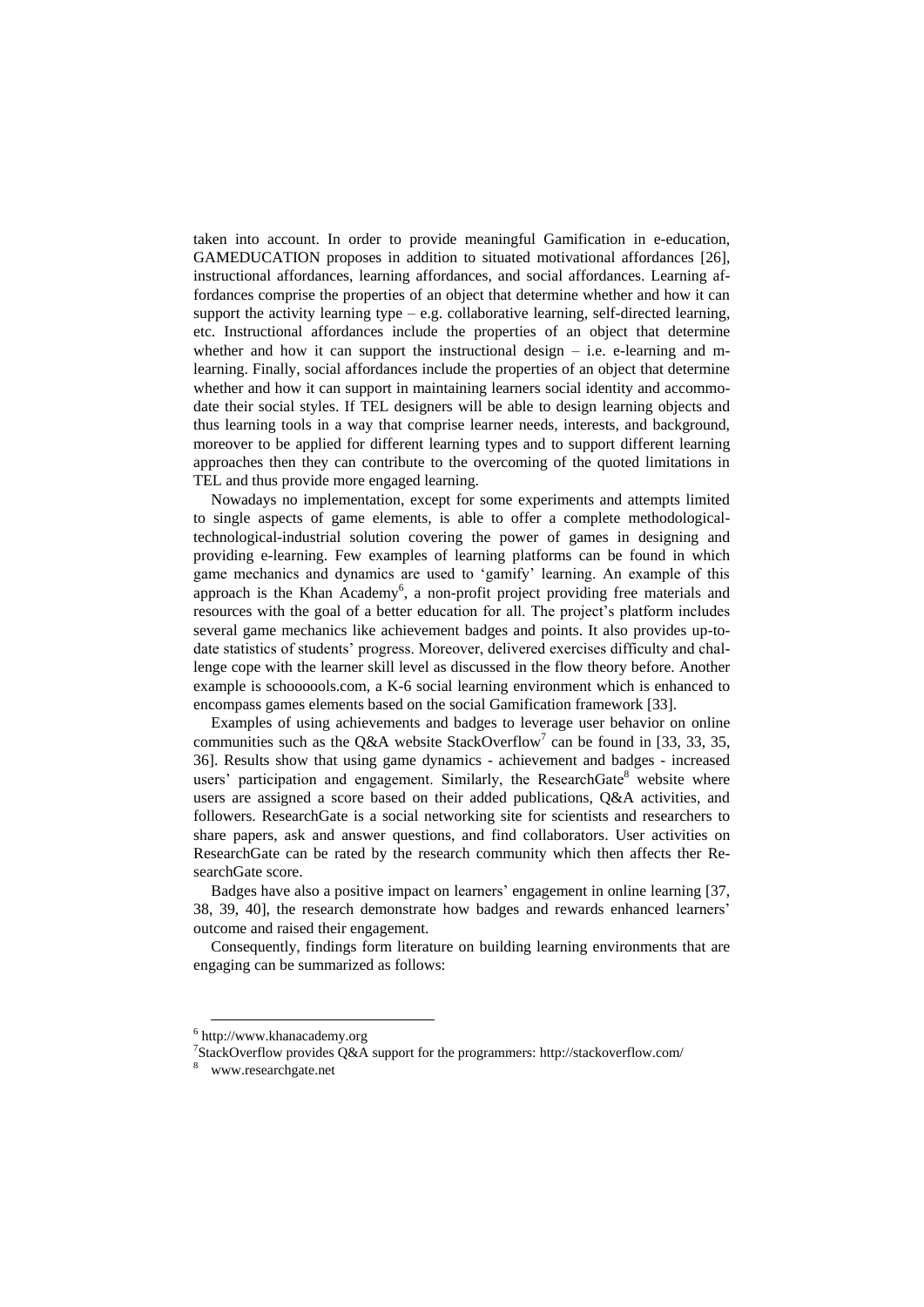taken into account. In order to provide meaningful Gamification in e-education, GAMEDUCATION proposes in addition to situated motivational affordances [26], instructional affordances, learning affordances, and social affordances. Learning affordances comprise the properties of an object that determine whether and how it can support the activity learning type  $-$  e.g. collaborative learning, self-directed learning, etc. Instructional affordances include the properties of an object that determine whether and how it can support the instructional design  $-$  i.e. e-learning and mlearning. Finally, social affordances include the properties of an object that determine whether and how it can support in maintaining learners social identity and accommodate their social styles. If TEL designers will be able to design learning objects and thus learning tools in a way that comprise learner needs, interests, and background, moreover to be applied for different learning types and to support different learning approaches then they can contribute to the overcoming of the quoted limitations in TEL and thus provide more engaged learning.

Nowadays no implementation, except for some experiments and attempts limited to single aspects of game elements, is able to offer a complete methodologicaltechnological-industrial solution covering the power of games in designing and providing e-learning. Few examples of learning platforms can be found in which game mechanics and dynamics are used to 'gamify' learning. An example of this approach is the Khan Academy<sup>6</sup>, a non-profit project providing free materials and resources with the goal of a better education for all. The project's platform includes several game mechanics like achievement badges and points. It also provides up-todate statistics of students' progress. Moreover, delivered exercises difficulty and challenge cope with the learner skill level as discussed in the flow theory before. Another example is schoooools.com, a K-6 social learning environment which is enhanced to encompass games elements based on the social Gamification framework [33].

Examples of using achievements and badges to leverage user behavior on online communities such as the Q&A website StackOverflow<sup>7</sup> can be found in [33, 33, 35, 36]. Results show that using game dynamics - achievement and badges - increased users' participation and engagement. Similarly, the ResearchGate<sup>8</sup> website where users are assigned a score based on their added publications, Q&A activities, and followers. ResearchGate is a social networking site for scientists and researchers to share papers, ask and answer questions, and find collaborators. User activities on ResearchGate can be rated by the research community which then affects ther ResearchGate score.

Badges have also a positive impact on learners' engagement in online learning [37, 38, 39, 40], the research demonstrate how badges and rewards enhanced learners' outcome and raised their engagement.

Consequently, findings form literature on building learning environments that are engaging can be summarized as follows:

<sup>6</sup> http://www.khanacademy.org

<sup>&</sup>lt;sup>7</sup>StackOverflow provides Q&A support for the programmers: http://stackoverflow.com/

<sup>8</sup> www.researchgate.net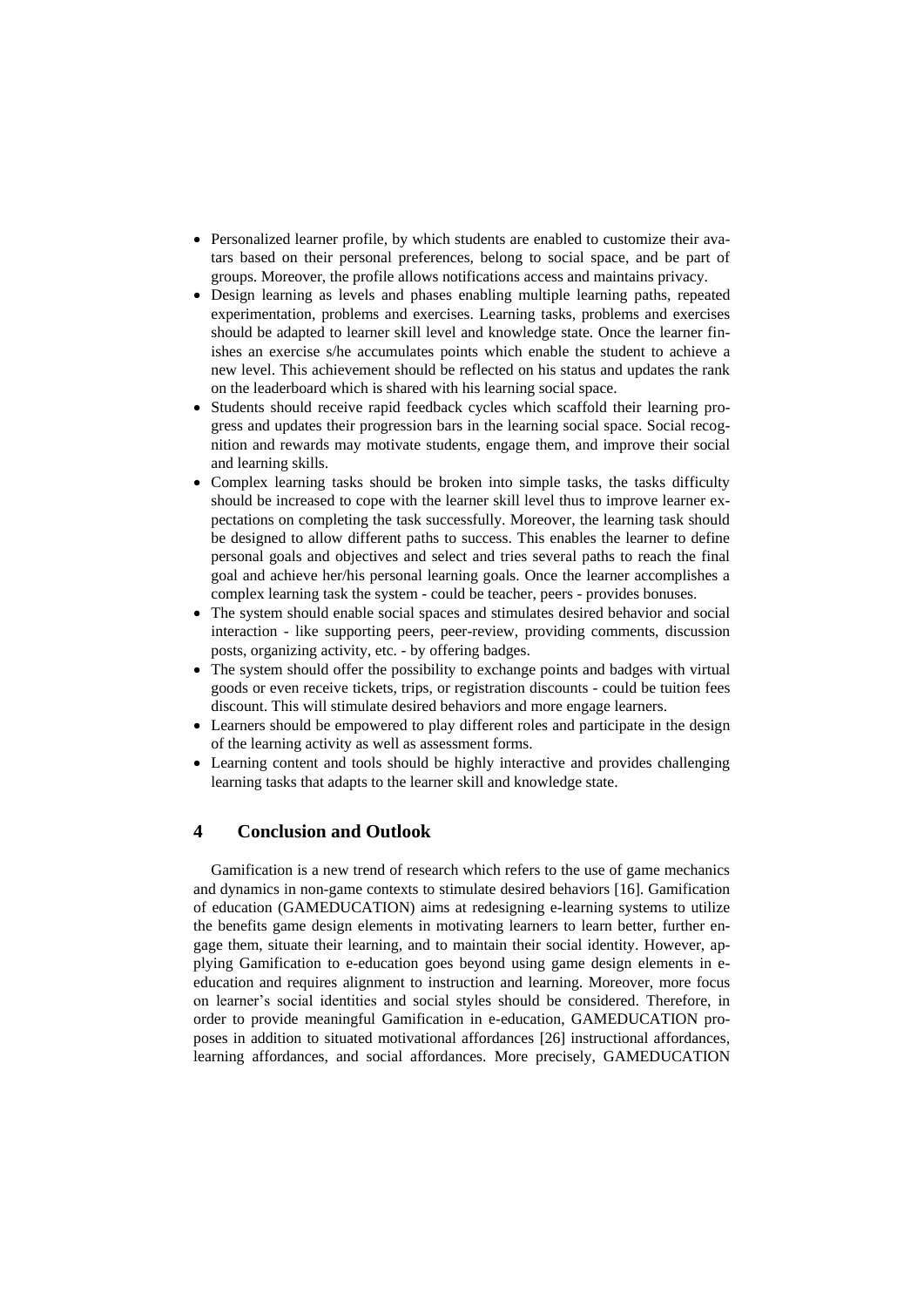- Personalized learner profile, by which students are enabled to customize their avatars based on their personal preferences, belong to social space, and be part of groups. Moreover, the profile allows notifications access and maintains privacy.
- Design learning as levels and phases enabling multiple learning paths, repeated experimentation, problems and exercises. Learning tasks, problems and exercises should be adapted to learner skill level and knowledge state. Once the learner finishes an exercise s/he accumulates points which enable the student to achieve a new level. This achievement should be reflected on his status and updates the rank on the leaderboard which is shared with his learning social space.
- Students should receive rapid feedback cycles which scaffold their learning progress and updates their progression bars in the learning social space. Social recognition and rewards may motivate students, engage them, and improve their social and learning skills.
- Complex learning tasks should be broken into simple tasks, the tasks difficulty should be increased to cope with the learner skill level thus to improve learner expectations on completing the task successfully. Moreover, the learning task should be designed to allow different paths to success. This enables the learner to define personal goals and objectives and select and tries several paths to reach the final goal and achieve her/his personal learning goals. Once the learner accomplishes a complex learning task the system - could be teacher, peers - provides bonuses.
- The system should enable social spaces and stimulates desired behavior and social interaction - like supporting peers, peer-review, providing comments, discussion posts, organizing activity, etc. - by offering badges.
- The system should offer the possibility to exchange points and badges with virtual goods or even receive tickets, trips, or registration discounts - could be tuition fees discount. This will stimulate desired behaviors and more engage learners.
- Learners should be empowered to play different roles and participate in the design of the learning activity as well as assessment forms.
- Learning content and tools should be highly interactive and provides challenging learning tasks that adapts to the learner skill and knowledge state.

# **4 Conclusion and Outlook**

Gamification is a new trend of research which refers to the use of game mechanics and dynamics in non-game contexts to stimulate desired behaviors [16]. Gamification of education (GAMEDUCATION) aims at redesigning e-learning systems to utilize the benefits game design elements in motivating learners to learn better, further engage them, situate their learning, and to maintain their social identity. However, applying Gamification to e-education goes beyond using game design elements in eeducation and requires alignment to instruction and learning. Moreover, more focus on learner's social identities and social styles should be considered. Therefore, in order to provide meaningful Gamification in e-education, GAMEDUCATION proposes in addition to situated motivational affordances [26] instructional affordances, learning affordances, and social affordances. More precisely, GAMEDUCATION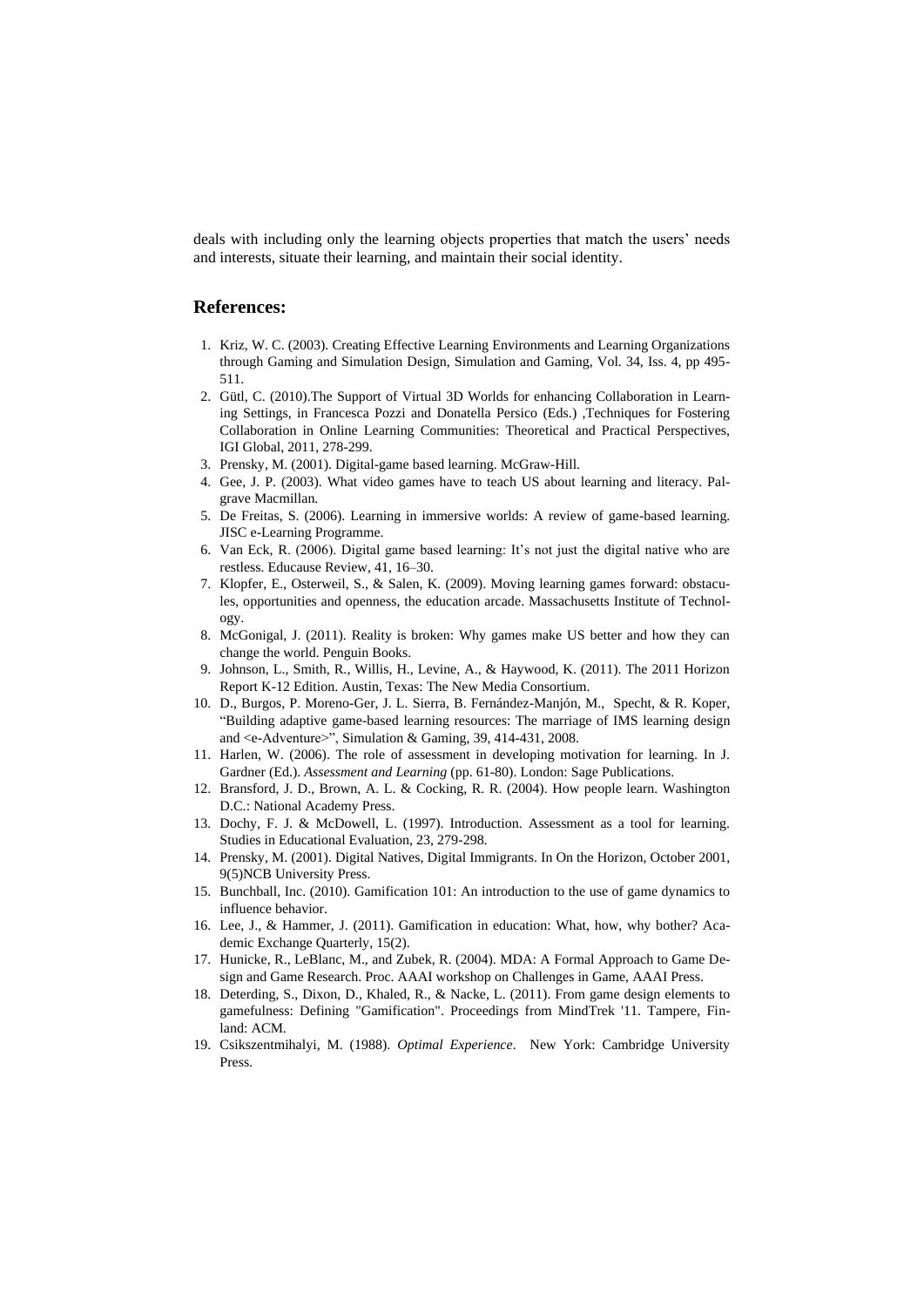deals with including only the learning objects properties that match the users' needs and interests, situate their learning, and maintain their social identity.

### **References:**

- 1. Kriz, W. C. (2003). Creating Effective Learning Environments and Learning Organizations through Gaming and Simulation Design, Simulation and Gaming, Vol. 34, Iss. 4, pp 495- 511.
- 2. Gütl, C. (2010).The Support of Virtual 3D Worlds for enhancing Collaboration in Learning Settings, in Francesca Pozzi and Donatella Persico (Eds.) ,Techniques for Fostering Collaboration in Online Learning Communities: Theoretical and Practical Perspectives, IGI Global, 2011, 278-299.
- 3. Prensky, M. (2001). Digital-game based learning. McGraw-Hill.
- 4. Gee, J. P. (2003). What video games have to teach US about learning and literacy. Palgrave Macmillan.
- 5. De Freitas, S. (2006). Learning in immersive worlds: A review of game-based learning. JISC e-Learning Programme.
- 6. Van Eck, R. (2006). Digital game based learning: It's not just the digital native who are restless. Educause Review, 41, 16–30.
- 7. Klopfer, E., Osterweil, S., & Salen, K. (2009). Moving learning games forward: obstacules, opportunities and openness, the education arcade. Massachusetts Institute of Technology.
- 8. McGonigal, J. (2011). Reality is broken: Why games make US better and how they can change the world. Penguin Books.
- 9. Johnson, L., Smith, R., Willis, H., Levine, A., & Haywood, K. (2011). The 2011 Horizon Report K-12 Edition. Austin, Texas: The New Media Consortium.
- 10. D., Burgos, P. Moreno-Ger, J. L. Sierra, B. Fernández-Manjón, M., Specht, & R. Koper, "Building adaptive game-based learning resources: The marriage of IMS learning design and <e-Adventure>", Simulation & Gaming, 39, 414-431, 2008.
- 11. Harlen, W. (2006). The role of assessment in developing motivation for learning. In J. Gardner (Ed.). *Assessment and Learning* (pp. 61-80). London: Sage Publications.
- 12. Bransford, J. D., Brown, A. L. & Cocking, R. R. (2004). How people learn. Washington D.C.: National Academy Press.
- 13. Dochy, F. J. & McDowell, L. (1997). Introduction. Assessment as a tool for learning. Studies in Educational Evaluation, 23, 279-298.
- 14. Prensky, M. (2001). Digital Natives, Digital Immigrants. In On the Horizon, October 2001, 9(5)NCB University Press.
- 15. Bunchball, Inc. (2010). Gamification 101: An introduction to the use of game dynamics to influence behavior.
- 16. Lee, J., & Hammer, J. (2011). Gamification in education: What, how, why bother? Academic Exchange Quarterly, 15(2).
- 17. Hunicke, R., LeBlanc, M., and Zubek, R. (2004). MDA: A Formal Approach to Game Design and Game Research. Proc. AAAI workshop on Challenges in Game, AAAI Press.
- 18. Deterding, S., Dixon, D., Khaled, R., & Nacke, L. (2011). From game design elements to gamefulness: Defining "Gamification". Proceedings from MindTrek '11. Tampere, Finland: ACM.
- 19. Csikszentmihalyi, M. (1988). *Optimal Experience*. New York: Cambridge University Press.